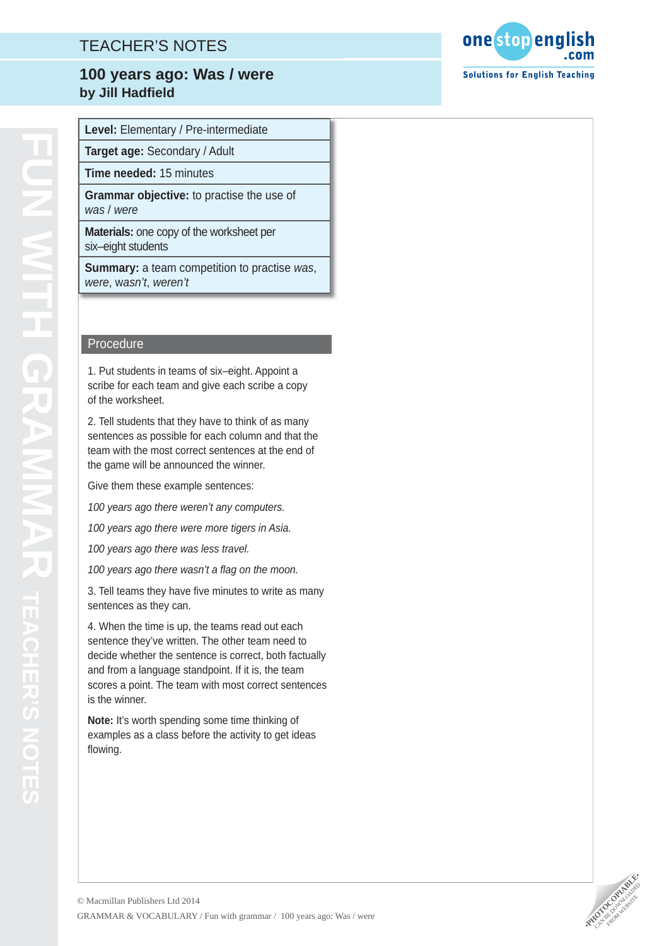# TEACHER'S NOTES

### **Title 100 years ago: Was / were by Jill Hadfield**

**Target age:** Secondary / Adult

**Time needed:** 15 minutes

**Grammar objective:** to practise the use of *was* / *were*

**Materials:** one copy of the worksheet per six–eight students

**Summary:** a team competition to practise *was*, *were*, w*asn't*, *weren't*

#### Procedure

1. Put students in teams of six–eight. Appoint a scribe for each team and give each scribe a copy of the worksheet.

2. Tell students that they have to think of as many sentences as possible for each column and that the team with the most correct sentences at the end of the game will be announced the winner.

Give them these example sentences:

*100 years ago there weren't any computers.*

*100 years ago there were more tigers in Asia.*

*100 years ago there was less travel.*

100 years ago there wasn't a flag on the moon.

3. Tell teams they have fi ve minutes to write as many sentences as they can.

4. When the time is up, the teams read out each sentence they've written. The other team need to decide whether the sentence is correct, both factually and from a language standpoint. If it is, the team scores a point. The team with most correct sentences is the winner.

**Note:** It's worth spending some time thinking of examples as a class before the activity to get ideas flowing.